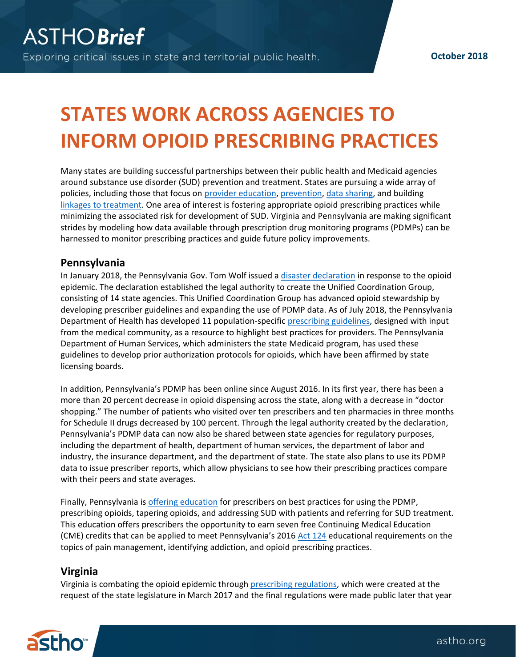## **STATES WORK ACROSS AGENCIES TO INFORM OPIOID PRESCRIBING PRACTICES**

Many states are building successful partnerships between their public health and Medicaid agencies around substance use disorder (SUD) prevention and treatment. States are pursuing a wide array of policies, including those that focus o[n provider education,](https://www.health.ny.gov/professionals/narcotic/mandatory_prescriber_education/) [prevention,](http://www.health.state.mn.us/divs/healthimprovement/working-together/state-plans/opioidstateplan.html) [data sharing,](https://www.chcf.org/publication/overcoming-data-sharing-challenges-opioid-epidemic/) and building [linkages to treatment.](https://www.kff.org/medicaid/issue-brief/the-opioid-epidemic-and-medicaids-role-in-facilitating-access-to-treatment/) One area of interest is fostering appropriate opioid prescribing practices while minimizing the associated risk for development of SUD. Virginia and Pennsylvania are making significant strides by modeling how data available through prescription drug monitoring programs (PDMPs) can be harnessed to monitor prescribing practices and guide future policy improvements.

## **Pennsylvania**

In January 2018, the Pennsylvania Gov. Tom Wolf issued a [disaster declaration](https://www.governor.pa.gov/governor-wolf-announces-progress-renewal-opioid-disaster-declaration/) in response to the opioid epidemic. The declaration established the legal authority to create the Unified Coordination Group, consisting of 14 state agencies. This Unified Coordination Group has advanced opioid stewardship by developing prescriber guidelines and expanding the use of PDMP data. As of July 2018, the Pennsylvania Department of Health has developed 11 population-specific [prescribing guidelines,](https://www.pamedsoc.org/detail/article/PA-Opioid-Guidelines) designed with input from the medical community, as a resource to highlight best practices for providers. The Pennsylvania Department of Human Services, which administers the state Medicaid program, has used these guidelines to develop prior authorization protocols for opioids, which have been affirmed by state licensing boards.

In addition, Pennsylvania's PDMP has been online since August 2016. In its first year, there has been a more than 20 percent decrease in opioid dispensing across the state, along with a decrease in "doctor shopping." The number of patients who visited over ten prescribers and ten pharmacies in three months for Schedule II drugs decreased by 100 percent. Through the legal authority created by the declaration, Pennsylvania's PDMP data can now also be shared between state agencies for regulatory purposes, including the department of health, department of human services, the department of labor and industry, the insurance department, and the department of state. The state also plans to use its PDMP data to issue prescriber reports, which allow physicians to see how their prescribing practices compare with their peers and state averages.

Finally, Pennsylvania is [offering education](https://www.health.pa.gov/topics/programs/PDMP/Pages/Education.aspx) for prescribers on best practices for using the PDMP, prescribing opioids, tapering opioids, and addressing SUD with patients and referring for SUD treatment. This education offers prescribers the opportunity to earn seven free Continuing Medical Education (CME) credits that can be applied to meet Pennsylvania's 2016 [Act 124](http://www.legis.state.pa.us/cfdocs/legis/li/uconsCheck.cfm?yr=2016&sessInd=0&act=124) educational requirements on the topics of pain management, identifying addiction, and opioid prescribing practices.

## **Virginia**

Virginia is combating the opioid epidemic through [prescribing regulations,](https://hancockdaniel.com/2017/03/opioidandbuprenorphine/) which were created at the request of the state legislature in March 2017 and the final regulations were made public later that year